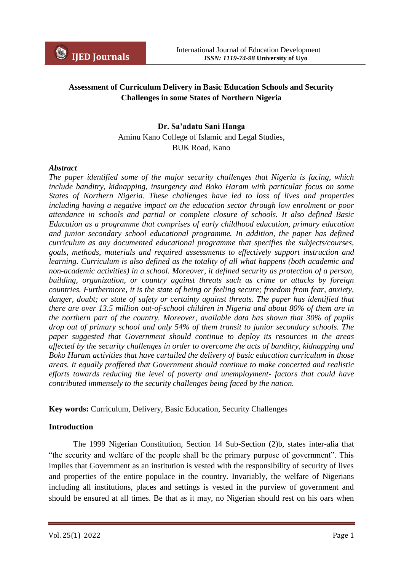# **Assessment of Curriculum Delivery in Basic Education Schools and Security Challenges in some States of Northern Nigeria**

## **Dr. Sa'adatu Sani Hanga**

Aminu Kano College of Islamic and Legal Studies, BUK Road, Kano

#### *Abstract*

*The paper identified some of the major security challenges that Nigeria is facing, which include banditry, kidnapping, insurgency and Boko Haram with particular focus on some States of Northern Nigeria. These challenges have led to loss of lives and properties including having a negative impact on the education sector through low enrolment or poor attendance in schools and partial or complete closure of schools. It also defined Basic Education as a programme that comprises of early childhood education, primary education and junior secondary school educational programme. In addition, the paper has defined curriculum as any documented educational programme that specifies the subjects/courses, goals, methods, materials and required assessments to effectively support instruction and learning. Curriculum is also defined as the totality of all what happens (both academic and non-academic activities) in a school. Moreover, it defined security as protection of a person, building, organization, or country against threats such as crime or attacks by foreign countries. Furthermore, it is the state of being or feeling secure; freedom from fear, anxiety, danger, doubt; or state of safety or certainty against threats. The paper has identified that there are over 13.5 million out-of-school children in Nigeria and about 80% of them are in the northern part of the country. Moreover, available data has shown that 30% of pupils drop out of primary school and only 54% of them transit to junior secondary schools. The paper suggested that Government should continue to deploy its resources in the areas affected by the security challenges in order to overcome the acts of banditry, kidnapping and Boko Haram activities that have curtailed the delivery of basic education curriculum in those areas. It equally proffered that Government should continue to make concerted and realistic efforts towards reducing the level of poverty and unemployment- factors that could have contributed immensely to the security challenges being faced by the nation.* 

**Key words:** Curriculum, Delivery, Basic Education, Security Challenges

## **Introduction**

The 1999 Nigerian Constitution, Section 14 Sub-Section (2)b, states inter-alia that "the security and welfare of the people shall be the primary purpose of government". This implies that Government as an institution is vested with the responsibility of security of lives and properties of the entire populace in the country. Invariably, the welfare of Nigerians including all institutions, places and settings is vested in the purview of government and should be ensured at all times. Be that as it may, no Nigerian should rest on his oars when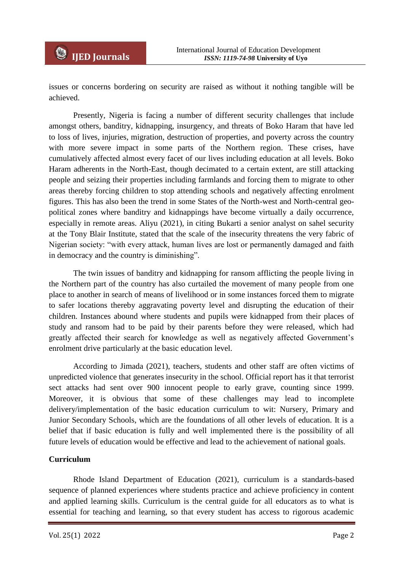issues or concerns bordering on security are raised as without it nothing tangible will be achieved.

Presently, Nigeria is facing a number of different security challenges that include amongst others, banditry, kidnapping, insurgency, and threats of Boko Haram that have led to loss of lives, injuries, migration, destruction of properties, and poverty across the country with more severe impact in some parts of the Northern region. These crises, have cumulatively affected almost every facet of our lives including education at all levels. Boko Haram adherents in the North-East, though decimated to a certain extent, are still attacking people and seizing their properties including farmlands and forcing them to migrate to other areas thereby forcing children to stop attending schools and negatively affecting enrolment figures. This has also been the trend in some States of the North-west and North-central geopolitical zones where banditry and kidnappings have become virtually a daily occurrence, especially in remote areas. Aliyu (2021), in citing Bukarti a senior analyst on sahel security at the Tony Blair Institute, stated that the scale of the insecurity threatens the very fabric of Nigerian society: "with every attack, human lives are lost or permanently damaged and faith in democracy and the country is diminishing".

The twin issues of banditry and kidnapping for ransom afflicting the people living in the Northern part of the country has also curtailed the movement of many people from one place to another in search of means of livelihood or in some instances forced them to migrate to safer locations thereby aggravating poverty level and disrupting the education of their children. Instances abound where students and pupils were kidnapped from their places of study and ransom had to be paid by their parents before they were released, which had greatly affected their search for knowledge as well as negatively affected Government"s enrolment drive particularly at the basic education level.

According to Jimada (2021), teachers, students and other staff are often victims of unpredicted violence that generates insecurity in the school. Official report has it that terrorist sect attacks had sent over 900 innocent people to early grave, counting since 1999. Moreover, it is obvious that some of these challenges may lead to incomplete delivery/implementation of the basic education curriculum to wit: Nursery, Primary and Junior Secondary Schools, which are the foundations of all other levels of education. It is a belief that if basic education is fully and well implemented there is the possibility of all future levels of education would be effective and lead to the achievement of national goals.

## **Curriculum**

Rhode Island Department of Education (2021), curriculum is a standards-based sequence of planned experiences where students practice and achieve proficiency in content and applied learning skills. Curriculum is the central guide for all educators as to what is essential for teaching and learning, so that every student has access to rigorous academic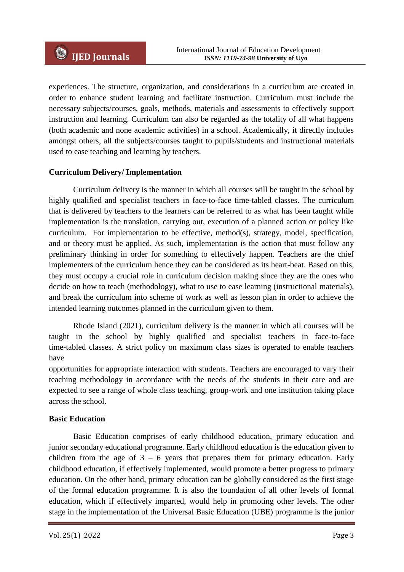experiences. The structure, organization, and considerations in a curriculum are created in order to enhance student learning and facilitate instruction. Curriculum must include the necessary subjects/courses, goals, methods, materials and assessments to effectively support instruction and learning. Curriculum can also be regarded as the totality of all what happens (both academic and none academic activities) in a school. Academically, it directly includes amongst others, all the subjects/courses taught to pupils/students and instructional materials used to ease teaching and learning by teachers.

## **Curriculum Delivery/ Implementation**

Curriculum delivery is the manner in which all courses will be taught in the school by highly qualified and specialist teachers in face-to-face time-tabled classes. The curriculum that is delivered by teachers to the learners can be referred to as what has been taught while implementation is the translation, carrying out, execution of a planned action or policy like curriculum. For implementation to be effective, method(s), strategy, model, specification, and or theory must be applied. As such, implementation is the action that must follow any preliminary thinking in order for something to effectively happen. Teachers are the chief implementers of the curriculum hence they can be considered as its heart-beat. Based on this, they must occupy a crucial role in curriculum decision making since they are the ones who decide on how to teach (methodology), what to use to ease learning (instructional materials), and break the curriculum into scheme of work as well as lesson plan in order to achieve the intended learning outcomes planned in the curriculum given to them.

Rhode Island (2021), curriculum delivery is the manner in which all courses will be taught in the school by highly qualified and specialist teachers in face-to-face time-tabled classes. A strict policy on maximum class sizes is operated to enable teachers have

opportunities for appropriate interaction with students. Teachers are encouraged to vary their teaching methodology in accordance with the needs of the students in their care and are expected to see a range of whole class teaching, group-work and one institution taking place across the school.

## **Basic Education**

Basic Education comprises of early childhood education, primary education and junior secondary educational programme. Early childhood education is the education given to children from the age of  $3 - 6$  years that prepares them for primary education. Early childhood education, if effectively implemented, would promote a better progress to primary education. On the other hand, primary education can be globally considered as the first stage of the formal education programme. It is also the foundation of all other levels of formal education, which if effectively imparted, would help in promoting other levels. The other stage in the implementation of the Universal Basic Education (UBE) programme is the junior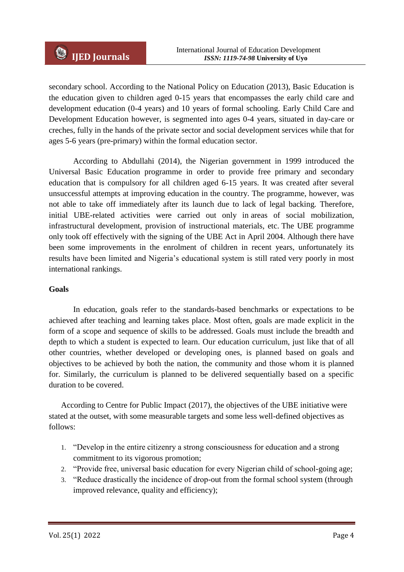secondary school. According to the National Policy on Education (2013), Basic Education is the education given to children aged 0-15 years that encompasses the early child care and development education (0-4 years) and 10 years of formal schooling. Early Child Care and Development Education however, is segmented into ages 0-4 years, situated in day-care or creches, fully in the hands of the private sector and social development services while that for ages 5-6 years (pre-primary) within the formal education sector.

According to Abdullahi (2014), the Nigerian government in 1999 introduced the Universal Basic Education programme in order to provide free primary and secondary education that is compulsory for all children aged 6-15 years. It was created after several unsuccessful attempts at improving education in the country. The programme, however, was not able to take off immediately after its launch due to lack of legal backing. Therefore, initial UBE-related activities were carried out only in areas of social mobilization, infrastructural development, provision of instructional materials, etc. The UBE programme only took off effectively with the signing of the UBE Act in April 2004. Although there have been some improvements in the enrolment of children in recent years, unfortunately its results have been limited and Nigeria"s educational system is still rated very poorly in most international rankings.

## **Goals**

In education, goals refer to the standards-based benchmarks or expectations to be achieved after teaching and learning takes place. Most often, goals are made explicit in the form of a scope and sequence of skills to be addressed. Goals must include the breadth and depth to which a student is expected to learn. Our education curriculum, just like that of all other countries, whether developed or developing ones, is planned based on goals and objectives to be achieved by both the nation, the community and those whom it is planned for. Similarly, the curriculum is planned to be delivered sequentially based on a specific duration to be covered.

According to Centre for Public Impact (2017), the objectives of the UBE initiative were stated at the outset, with some measurable targets and some less well-defined objectives as follows:

- 1. "Develop in the entire citizenry a strong consciousness for education and a strong commitment to its vigorous promotion;
- 2. "Provide free, universal basic education for every Nigerian child of school-going age;
- 3. "Reduce drastically the incidence of drop-out from the formal school system (through improved relevance, quality and efficiency);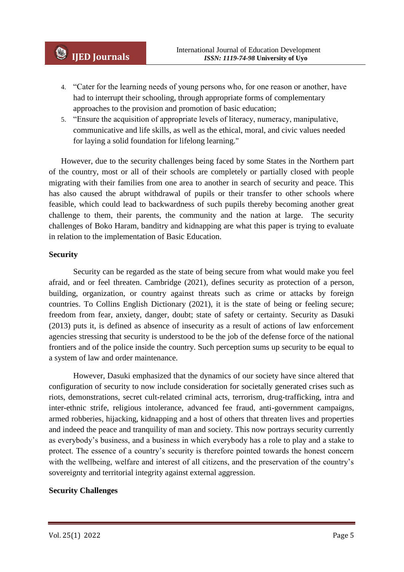- 4. "Cater for the learning needs of young persons who, for one reason or another, have had to interrupt their schooling, through appropriate forms of complementary approaches to the provision and promotion of basic education;
- 5. "Ensure the acquisition of appropriate levels of literacy, numeracy, manipulative, communicative and life skills, as well as the ethical, moral, and civic values needed for laying a solid foundation for lifelong learning."

However, due to the security challenges being faced by some States in the Northern part of the country, most or all of their schools are completely or partially closed with people migrating with their families from one area to another in search of security and peace. This has also caused the abrupt withdrawal of pupils or their transfer to other schools where feasible, which could lead to backwardness of such pupils thereby becoming another great challenge to them, their parents, the community and the nation at large. The security challenges of Boko Haram, banditry and kidnapping are what this paper is trying to evaluate in relation to the implementation of Basic Education.

#### **Security**

Security can be regarded as the state of being secure from what would make you feel afraid, and or feel threaten. Cambridge (2021), defines security as protection of a person, building, organization, or country against threats such as crime or attacks by foreign countries. To Collins English Dictionary (2021), it is the state of being or feeling secure; freedom from fear, anxiety, danger, doubt; state of safety or certainty. Security as Dasuki (2013) puts it, is defined as absence of insecurity as a result of actions of law enforcement agencies stressing that security is understood to be the job of the defense force of the national frontiers and of the police inside the country. Such perception sums up security to be equal to a system of law and order maintenance.

However, Dasuki emphasized that the dynamics of our society have since altered that configuration of security to now include consideration for societally generated crises such as riots, demonstrations, secret cult-related criminal acts, terrorism, drug-trafficking, intra and inter-ethnic strife, religious intolerance, advanced fee fraud, anti-government campaigns, armed robberies, hijacking, kidnapping and a host of others that threaten lives and properties and indeed the peace and tranquility of man and society. This now portrays security currently as everybody"s business, and a business in which everybody has a role to play and a stake to protect. The essence of a country"s security is therefore pointed towards the honest concern with the wellbeing, welfare and interest of all citizens, and the preservation of the country's sovereignty and territorial integrity against external aggression.

#### **Security Challenges**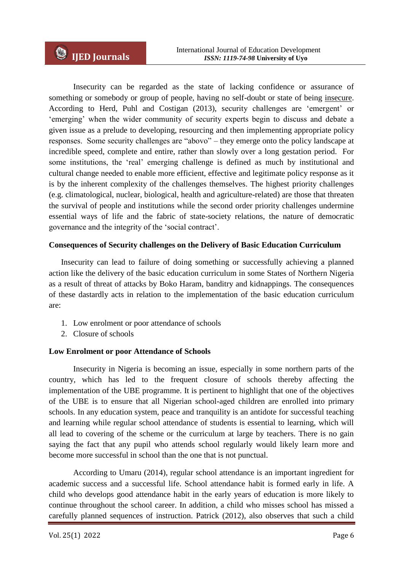Insecurity can be regarded as the state of lacking confidence or assurance of something or somebody or group of people, having no self-doubt or state of being [insecure.](https://www.dictionary.com/browse/insecure) According to Herd, Puhl and Costigan (2013), security challenges are "emergent" or "emerging" when the wider community of security experts begin to discuss and debate a given issue as a prelude to developing, resourcing and then implementing appropriate policy responses. Some security challenges are "abovo" – they emerge onto the policy landscape at incredible speed, complete and entire, rather than slowly over a long gestation period. For some institutions, the "real" emerging challenge is defined as much by institutional and cultural change needed to enable more efficient, effective and legitimate policy response as it is by the inherent complexity of the challenges themselves. The highest priority challenges (e.g. climatological, nuclear, biological, health and agriculture-related) are those that threaten the survival of people and institutions while the second order priority challenges undermine essential ways of life and the fabric of state-society relations, the nature of democratic governance and the integrity of the "social contract".

## **Consequences of Security challenges on the Delivery of Basic Education Curriculum**

Insecurity can lead to failure of doing something or successfully achieving a planned action like the delivery of the basic education curriculum in some States of Northern Nigeria as a result of threat of attacks by Boko Haram, banditry and kidnappings. The consequences of these dastardly acts in relation to the implementation of the basic education curriculum are:

- 1. Low enrolment or poor attendance of schools
- 2. Closure of schools

# **Low Enrolment or poor Attendance of Schools**

Insecurity in Nigeria is becoming an issue, especially in some northern parts of the country, which has led to the frequent closure of schools thereby affecting the implementation of the UBE programme. It is pertinent to highlight that one of the objectives of the UBE is to ensure that all Nigerian school-aged children are enrolled into primary schools. In any education system, peace and tranquility is an antidote for successful teaching and learning while regular school attendance of students is essential to learning, which will all lead to covering of the scheme or the curriculum at large by teachers. There is no gain saying the fact that any pupil who attends school regularly would likely learn more and become more successful in school than the one that is not punctual.

According to Umaru (2014), regular school attendance is an important ingredient for academic success and a successful life. School attendance habit is formed early in life. A child who develops good attendance habit in the early years of education is more likely to continue throughout the school career. In addition, a child who misses school has missed a carefully planned sequences of instruction. Patrick (2012), also observes that such a child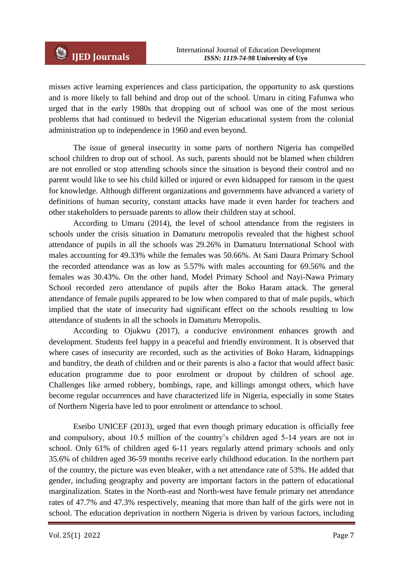misses active learning experiences and class participation, the opportunity to ask questions and is more likely to fall behind and drop out of the school. Umaru in citing Fafunwa who urged that in the early 1980s that dropping out of school was one of the most serious problems that had continued to bedevil the Nigerian educational system from the colonial administration up to independence in 1960 and even beyond.

The issue of general insecurity in some parts of northern Nigeria has compelled school children to drop out of school. As such, parents should not be blamed when children are not enrolled or stop attending schools since the situation is beyond their control and no parent would like to see his child killed or injured or even kidnapped for ransom in the quest for knowledge. Although different organizations and governments have advanced a variety of definitions of human security, constant attacks have made it even harder for teachers and other stakeholders to persuade parents to allow their children stay at school.

According to Umaru (2014), the level of school attendance from the registers in schools under the crisis situation in Damaturu metropolis revealed that the highest school attendance of pupils in all the schools was 29.26% in Damaturu International School with males accounting for 49.33% while the females was 50.66%. At Sani Daura Primary School the recorded attendance was as low as 5.57% with males accounting for 69.56% and the females was 30.43%. On the other hand, Model Primary School and Nayi-Nawa Primary School recorded zero attendance of pupils after the Boko Haram attack. The general attendance of female pupils appeared to be low when compared to that of male pupils, which implied that the state of insecurity had significant effect on the schools resulting to low attendance of students in all the schools in Damaturu Metropolis.

According to Ojukwu (2017), a conducive environment enhances growth and development. Students feel happy in a peaceful and friendly environment. It is observed that where cases of insecurity are recorded, such as the activities of Boko Haram, kidnappings and banditry, the death of children and or their parents is also a factor that would affect basic education programme due to poor enrolment or dropout by children of school age. Challenges like armed robbery, bombings, rape, and killings amongst others, which have become regular occurrences and have characterized life in Nigeria, especially in some States of Northern Nigeria have led to poor enrolment or attendance to school.

Eseibo UNICEF (2013), urged that even though primary education is officially free and compulsory, about 10.5 million of the country"s children aged 5-14 years are not in school. Only 61% of children aged 6-11 years regularly attend primary schools and only 35.6% of children aged 36-59 months receive early childhood education. In the northern part of the country, the picture was even bleaker, with a net attendance rate of 53%. He added that gender, including geography and poverty are important factors in the pattern of educational marginalization. States in the North-east and North-west have female primary net attendance rates of 47.7% and 47.3% respectively, meaning that more than half of the girls were not in school. The education deprivation in northern Nigeria is driven by various factors, including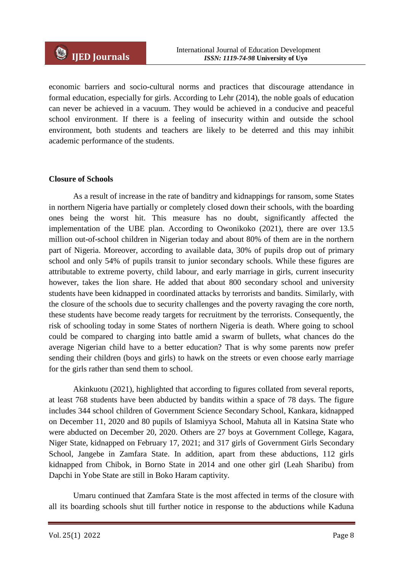economic barriers and socio-cultural norms and practices that discourage attendance in formal education, especially for girls. According to Lehr (2014), the noble goals of education can never be achieved in a vacuum. They would be achieved in a conducive and peaceful school environment. If there is a feeling of insecurity within and outside the school environment, both students and teachers are likely to be deterred and this may inhibit academic performance of the students.

## **Closure of Schools**

As a result of increase in the rate of banditry and kidnappings for ransom, some States in northern Nigeria have partially or completely closed down their schools, with the boarding ones being the worst hit. This measure has no doubt, significantly affected the implementation of the UBE plan. According to Owonikoko (2021), there are over 13.5 million out-of-school children in Nigerian today and about 80% of them are in the northern part of Nigeria. Moreover, according to available data, 30% of pupils drop out of primary school and only 54% of pupils transit to junior secondary schools. While these figures are attributable to extreme poverty, child labour, and early marriage in girls, current insecurity however, takes the lion share. He added that about 800 secondary school and university students have been kidnapped in coordinated attacks by terrorists and bandits. Similarly, with the closure of the schools due to security challenges and the poverty ravaging the core north, these students have become ready targets for recruitment by the terrorists. Consequently, the risk of schooling today in some States of northern Nigeria is death. Where going to school could be compared to charging into battle amid a swarm of bullets, what chances do the average Nigerian child have to a better education? That is why some parents now prefer sending their children (boys and girls) to hawk on the streets or even choose early marriage for the girls rather than send them to school.

Akinkuotu (2021), highlighted that according to figures collated from several reports, at least 768 students have been abducted by bandits within a space of 78 days. The figure includes 344 school children of Government Science Secondary School, Kankara, kidnapped on December 11, 2020 and 80 pupils of Islamiyya School, Mahuta all in Katsina State who were abducted on December 20, 2020. Others are 27 boys at Government College, Kagara, Niger State, kidnapped on February 17, 2021; and 317 girls of Government Girls Secondary School, Jangebe in Zamfara State. In addition, apart from these abductions, 112 girls kidnapped from Chibok, in Borno State in 2014 and one other girl (Leah Sharibu) from Dapchi in Yobe State are still in Boko Haram captivity.

Umaru continued that Zamfara State is the most affected in terms of the closure with all its boarding schools shut till further notice in response to the abductions while Kaduna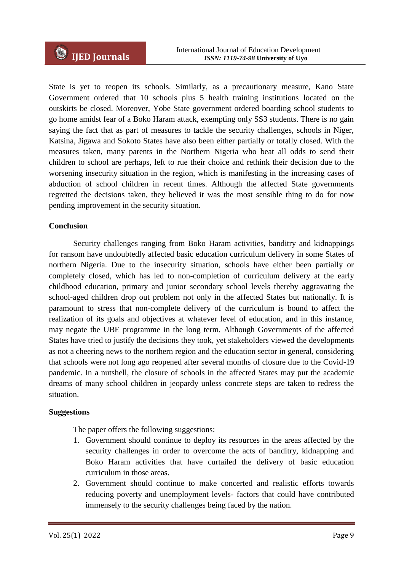State is yet to reopen its schools. Similarly, as a precautionary measure, Kano State Government ordered that 10 schools plus 5 health training institutions located on the outskirts be closed. Moreover, Yobe State government ordered boarding school students to go home amidst fear of a Boko Haram attack, exempting only SS3 students. There is no gain saying the fact that as part of measures to tackle the security challenges, schools in Niger, Katsina, Jigawa and Sokoto States have also been either partially or totally closed. With the measures taken, many parents in the Northern Nigeria who beat all odds to send their children to school are perhaps, left to rue their choice and rethink their decision due to the worsening insecurity situation in the region, which is manifesting in the increasing cases of abduction of school children in recent times. Although the affected State governments regretted the decisions taken, they believed it was the most sensible thing to do for now pending improvement in the security situation.

## **Conclusion**

Security challenges ranging from Boko Haram activities, banditry and kidnappings for ransom have undoubtedly affected basic education curriculum delivery in some States of northern Nigeria. Due to the insecurity situation, schools have either been partially or completely closed, which has led to non-completion of curriculum delivery at the early childhood education, primary and junior secondary school levels thereby aggravating the school-aged children drop out problem not only in the affected States but nationally. It is paramount to stress that non-complete delivery of the curriculum is bound to affect the realization of its goals and objectives at whatever level of education, and in this instance, may negate the UBE programme in the long term. Although Governments of the affected States have tried to justify the decisions they took, yet stakeholders viewed the developments as not a cheering news to the northern region and the education sector in general, considering that schools were not long ago reopened after several months of closure due to the Covid-19 pandemic. In a nutshell, the closure of schools in the affected States may put the academic dreams of many school children in jeopardy unless concrete steps are taken to redress the situation.

## **Suggestions**

The paper offers the following suggestions:

- 1. Government should continue to deploy its resources in the areas affected by the security challenges in order to overcome the acts of banditry, kidnapping and Boko Haram activities that have curtailed the delivery of basic education curriculum in those areas.
- 2. Government should continue to make concerted and realistic efforts towards reducing poverty and unemployment levels- factors that could have contributed immensely to the security challenges being faced by the nation.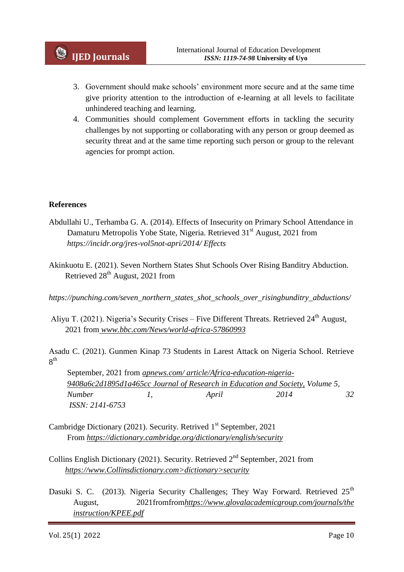- 3. Government should make schools" environment more secure and at the same time give priority attention to the introduction of e-learning at all levels to facilitate unhindered teaching and learning.
- 4. Communities should complement Government efforts in tackling the security challenges by not supporting or collaborating with any person or group deemed as security threat and at the same time reporting such person or group to the relevant agencies for prompt action.

## **References**

- Abdullahi U., Terhamba G. A. (2014). Effects of Insecurity on Primary School Attendance in Damaturu Metropolis Yobe State, Nigeria. Retrieved 31<sup>st</sup> August, 2021 from *https://incidr.org/jres-vol5not-apri/2014/ Effects*
- Akinkuotu E. (2021). Seven Northern States Shut Schools Over Rising Banditry Abduction. Retrieved  $28<sup>th</sup>$  August, 2021 from

*https://punching.com/seven\_northern\_states\_shot\_schools\_over\_risingbunditry\_abductions/*

Aliyu T. (2021). Nigeria's Security Crises – Five Different Threats. Retrieved 24<sup>th</sup> August, 2021 from *www.bbc.com/News/world-africa-57860993*

Asadu C. (2021). Gunmen Kinap 73 Students in Larest Attack on Nigeria School. Retrieve  $8^{\rm th}$ 

 September, 2021 from *apnews.com/ article/Africa-education-nigeria- 9408a6c2d1895d1a465cc Journal of Research in Education and Society, Volume 5, Number 1, April 2014 32 ISSN: 2141-6753*

- Cambridge Dictionary (2021). Security. Retrived 1<sup>st</sup> September, 2021 From *https://dictionary.cambridge.org/dictionary/english/security*
- Collins English Dictionary (2021). Security. Retrieved 2nd September, 2021 from *https://www.Collinsdictionary.com>dictionary>security*
- Dasuki S. C. (2013). Nigeria Security Challenges; They Way Forward. Retrieved  $25<sup>th</sup>$ August, 2021fromfrom*https://www.glovalacademicgroup.com/journals/the instruction/KPEE.pdf*